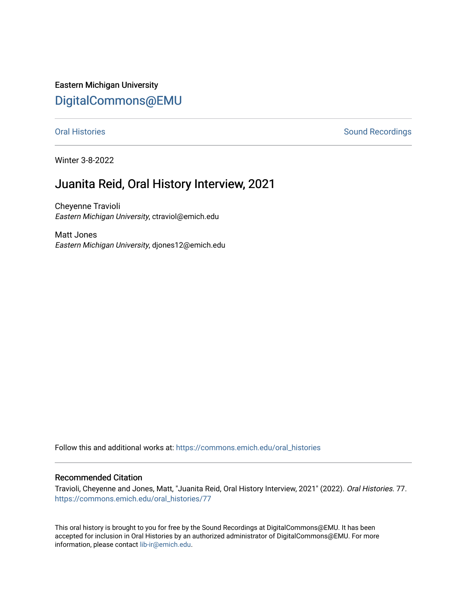Eastern Michigan University [DigitalCommons@EMU](https://commons.emich.edu/) 

[Oral Histories](https://commons.emich.edu/oral_histories) **Sound Recordings** Sound Recordings

Winter 3-8-2022

# Juanita Reid, Oral History Interview, 2021

Cheyenne Travioli Eastern Michigan University, ctraviol@emich.edu

Matt Jones Eastern Michigan University, djones12@emich.edu

Follow this and additional works at: [https://commons.emich.edu/oral\\_histories](https://commons.emich.edu/oral_histories?utm_source=commons.emich.edu%2Foral_histories%2F77&utm_medium=PDF&utm_campaign=PDFCoverPages) 

#### Recommended Citation

Travioli, Cheyenne and Jones, Matt, "Juanita Reid, Oral History Interview, 2021" (2022). Oral Histories. 77. [https://commons.emich.edu/oral\\_histories/77](https://commons.emich.edu/oral_histories/77?utm_source=commons.emich.edu%2Foral_histories%2F77&utm_medium=PDF&utm_campaign=PDFCoverPages)

This oral history is brought to you for free by the Sound Recordings at DigitalCommons@EMU. It has been accepted for inclusion in Oral Histories by an authorized administrator of DigitalCommons@EMU. For more information, please contact [lib-ir@emich.edu](mailto:lib-ir@emich.edu).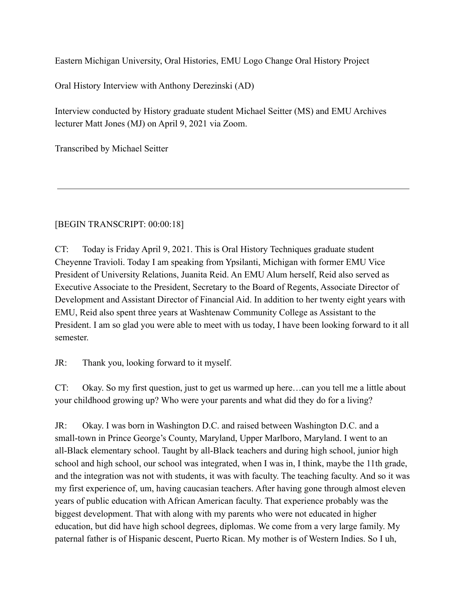Eastern Michigan University, Oral Histories, EMU Logo Change Oral History Project

Oral History Interview with Anthony Derezinski (AD)

Interview conducted by History graduate student Michael Seitter (MS) and EMU Archives lecturer Matt Jones (MJ) on April 9, 2021 via Zoom.

Transcribed by Michael Seitter

## [BEGIN TRANSCRIPT: 00:00:18]

CT: Today is Friday April 9, 2021. This is Oral History Techniques graduate student Cheyenne Travioli. Today I am speaking from Ypsilanti, Michigan with former EMU Vice President of University Relations, Juanita Reid. An EMU Alum herself, Reid also served as Executive Associate to the President, Secretary to the Board of Regents, Associate Director of Development and Assistant Director of Financial Aid. In addition to her twenty eight years with EMU, Reid also spent three years at Washtenaw Community College as Assistant to the President. I am so glad you were able to meet with us today, I have been looking forward to it all semester.

JR: Thank you, looking forward to it myself.

CT: Okay. So my first question, just to get us warmed up here…can you tell me a little about your childhood growing up? Who were your parents and what did they do for a living?

JR: Okay. I was born in Washington D.C. and raised between Washington D.C. and a small-town in Prince George's County, Maryland, Upper Marlboro, Maryland. I went to an all-Black elementary school. Taught by all-Black teachers and during high school, junior high school and high school, our school was integrated, when I was in, I think, maybe the 11th grade, and the integration was not with students, it was with faculty. The teaching faculty. And so it was my first experience of, um, having caucasian teachers. After having gone through almost eleven years of public education with African American faculty. That experience probably was the biggest development. That with along with my parents who were not educated in higher education, but did have high school degrees, diplomas. We come from a very large family. My paternal father is of Hispanic descent, Puerto Rican. My mother is of Western Indies. So I uh,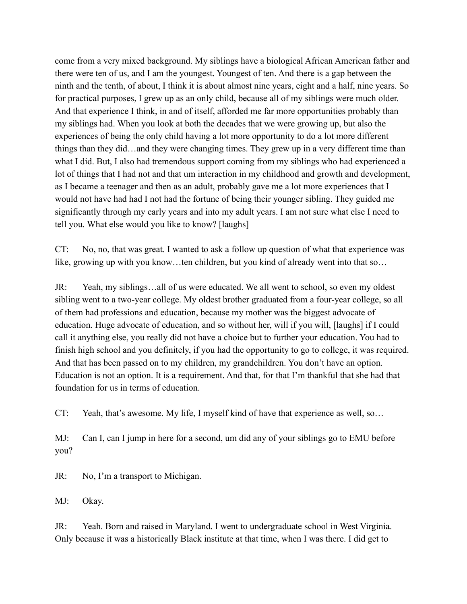come from a very mixed background. My siblings have a biological African American father and there were ten of us, and I am the youngest. Youngest of ten. And there is a gap between the ninth and the tenth, of about, I think it is about almost nine years, eight and a half, nine years. So for practical purposes, I grew up as an only child, because all of my siblings were much older. And that experience I think, in and of itself, afforded me far more opportunities probably than my siblings had. When you look at both the decades that we were growing up, but also the experiences of being the only child having a lot more opportunity to do a lot more different things than they did…and they were changing times. They grew up in a very different time than what I did. But, I also had tremendous support coming from my siblings who had experienced a lot of things that I had not and that um interaction in my childhood and growth and development, as I became a teenager and then as an adult, probably gave me a lot more experiences that I would not have had had I not had the fortune of being their younger sibling. They guided me significantly through my early years and into my adult years. I am not sure what else I need to tell you. What else would you like to know? [laughs]

CT: No, no, that was great. I wanted to ask a follow up question of what that experience was like, growing up with you know…ten children, but you kind of already went into that so…

JR: Yeah, my siblings…all of us were educated. We all went to school, so even my oldest sibling went to a two-year college. My oldest brother graduated from a four-year college, so all of them had professions and education, because my mother was the biggest advocate of education. Huge advocate of education, and so without her, will if you will, [laughs] if I could call it anything else, you really did not have a choice but to further your education. You had to finish high school and you definitely, if you had the opportunity to go to college, it was required. And that has been passed on to my children, my grandchildren. You don't have an option. Education is not an option. It is a requirement. And that, for that I'm thankful that she had that foundation for us in terms of education.

CT: Yeah, that's awesome. My life, I myself kind of have that experience as well, so…

MJ: Can I, can I jump in here for a second, um did any of your siblings go to EMU before you?

JR: No, I'm a transport to Michigan.

MJ: Okay.

JR: Yeah. Born and raised in Maryland. I went to undergraduate school in West Virginia. Only because it was a historically Black institute at that time, when I was there. I did get to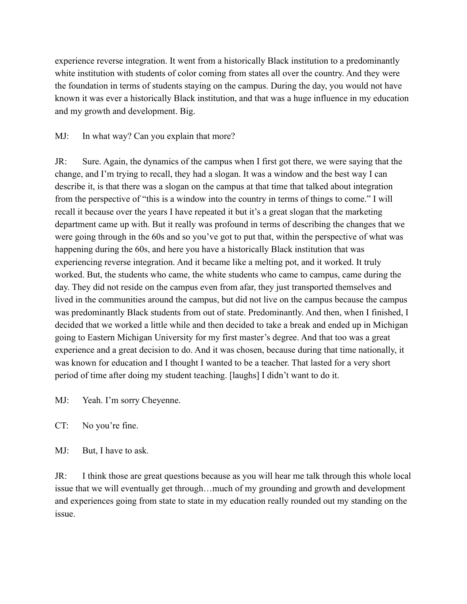experience reverse integration. It went from a historically Black institution to a predominantly white institution with students of color coming from states all over the country. And they were the foundation in terms of students staying on the campus. During the day, you would not have known it was ever a historically Black institution, and that was a huge influence in my education and my growth and development. Big.

MJ: In what way? Can you explain that more?

JR: Sure. Again, the dynamics of the campus when I first got there, we were saying that the change, and I'm trying to recall, they had a slogan. It was a window and the best way I can describe it, is that there was a slogan on the campus at that time that talked about integration from the perspective of "this is a window into the country in terms of things to come." I will recall it because over the years I have repeated it but it's a great slogan that the marketing department came up with. But it really was profound in terms of describing the changes that we were going through in the 60s and so you've got to put that, within the perspective of what was happening during the 60s, and here you have a historically Black institution that was experiencing reverse integration. And it became like a melting pot, and it worked. It truly worked. But, the students who came, the white students who came to campus, came during the day. They did not reside on the campus even from afar, they just transported themselves and lived in the communities around the campus, but did not live on the campus because the campus was predominantly Black students from out of state. Predominantly. And then, when I finished, I decided that we worked a little while and then decided to take a break and ended up in Michigan going to Eastern Michigan University for my first master's degree. And that too was a great experience and a great decision to do. And it was chosen, because during that time nationally, it was known for education and I thought I wanted to be a teacher. That lasted for a very short period of time after doing my student teaching. [laughs] I didn't want to do it.

MJ: Yeah. I'm sorry Cheyenne.

CT: No you're fine.

MJ: But, I have to ask.

JR: I think those are great questions because as you will hear me talk through this whole local issue that we will eventually get through…much of my grounding and growth and development and experiences going from state to state in my education really rounded out my standing on the issue.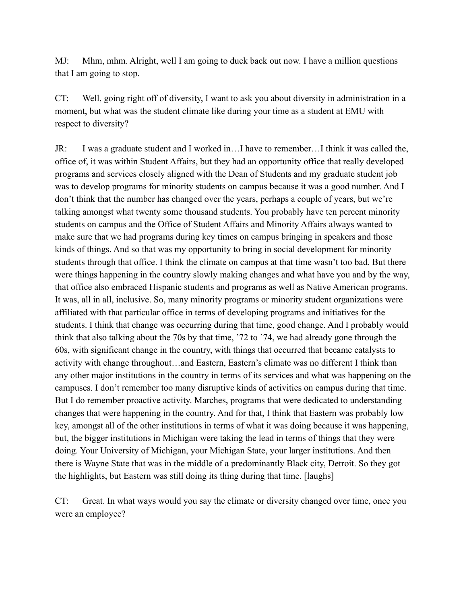MJ: Mhm, mhm. Alright, well I am going to duck back out now. I have a million questions that I am going to stop.

CT: Well, going right off of diversity, I want to ask you about diversity in administration in a moment, but what was the student climate like during your time as a student at EMU with respect to diversity?

JR: I was a graduate student and I worked in…I have to remember…I think it was called the, office of, it was within Student Affairs, but they had an opportunity office that really developed programs and services closely aligned with the Dean of Students and my graduate student job was to develop programs for minority students on campus because it was a good number. And I don't think that the number has changed over the years, perhaps a couple of years, but we're talking amongst what twenty some thousand students. You probably have ten percent minority students on campus and the Office of Student Affairs and Minority Affairs always wanted to make sure that we had programs during key times on campus bringing in speakers and those kinds of things. And so that was my opportunity to bring in social development for minority students through that office. I think the climate on campus at that time wasn't too bad. But there were things happening in the country slowly making changes and what have you and by the way, that office also embraced Hispanic students and programs as well as Native American programs. It was, all in all, inclusive. So, many minority programs or minority student organizations were affiliated with that particular office in terms of developing programs and initiatives for the students. I think that change was occurring during that time, good change. And I probably would think that also talking about the 70s by that time, '72 to '74, we had already gone through the 60s, with significant change in the country, with things that occurred that became catalysts to activity with change throughout…and Eastern, Eastern's climate was no different I think than any other major institutions in the country in terms of its services and what was happening on the campuses. I don't remember too many disruptive kinds of activities on campus during that time. But I do remember proactive activity. Marches, programs that were dedicated to understanding changes that were happening in the country. And for that, I think that Eastern was probably low key, amongst all of the other institutions in terms of what it was doing because it was happening, but, the bigger institutions in Michigan were taking the lead in terms of things that they were doing. Your University of Michigan, your Michigan State, your larger institutions. And then there is Wayne State that was in the middle of a predominantly Black city, Detroit. So they got the highlights, but Eastern was still doing its thing during that time. [laughs]

CT: Great. In what ways would you say the climate or diversity changed over time, once you were an employee?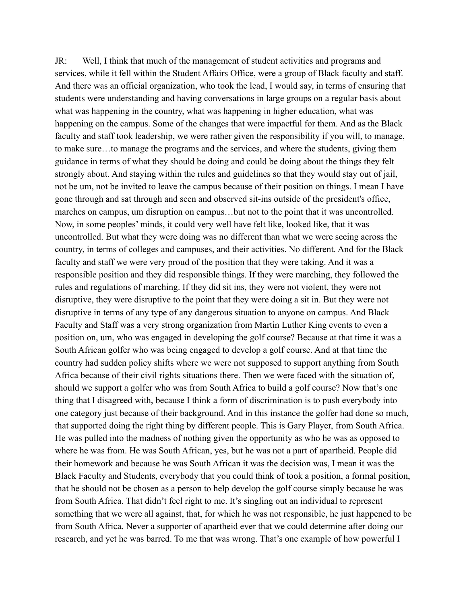JR: Well, I think that much of the management of student activities and programs and services, while it fell within the Student Affairs Office, were a group of Black faculty and staff. And there was an official organization, who took the lead, I would say, in terms of ensuring that students were understanding and having conversations in large groups on a regular basis about what was happening in the country, what was happening in higher education, what was happening on the campus. Some of the changes that were impactful for them. And as the Black faculty and staff took leadership, we were rather given the responsibility if you will, to manage, to make sure…to manage the programs and the services, and where the students, giving them guidance in terms of what they should be doing and could be doing about the things they felt strongly about. And staying within the rules and guidelines so that they would stay out of jail, not be um, not be invited to leave the campus because of their position on things. I mean I have gone through and sat through and seen and observed sit-ins outside of the president's office, marches on campus, um disruption on campus…but not to the point that it was uncontrolled. Now, in some peoples' minds, it could very well have felt like, looked like, that it was uncontrolled. But what they were doing was no different than what we were seeing across the country, in terms of colleges and campuses, and their activities. No different. And for the Black faculty and staff we were very proud of the position that they were taking. And it was a responsible position and they did responsible things. If they were marching, they followed the rules and regulations of marching. If they did sit ins, they were not violent, they were not disruptive, they were disruptive to the point that they were doing a sit in. But they were not disruptive in terms of any type of any dangerous situation to anyone on campus. And Black Faculty and Staff was a very strong organization from Martin Luther King events to even a position on, um, who was engaged in developing the golf course? Because at that time it was a South African golfer who was being engaged to develop a golf course. And at that time the country had sudden policy shifts where we were not supposed to support anything from South Africa because of their civil rights situations there. Then we were faced with the situation of, should we support a golfer who was from South Africa to build a golf course? Now that's one thing that I disagreed with, because I think a form of discrimination is to push everybody into one category just because of their background. And in this instance the golfer had done so much, that supported doing the right thing by different people. This is Gary Player, from South Africa. He was pulled into the madness of nothing given the opportunity as who he was as opposed to where he was from. He was South African, yes, but he was not a part of apartheid. People did their homework and because he was South African it was the decision was, I mean it was the Black Faculty and Students, everybody that you could think of took a position, a formal position, that he should not be chosen as a person to help develop the golf course simply because he was from South Africa. That didn't feel right to me. It's singling out an individual to represent something that we were all against, that, for which he was not responsible, he just happened to be from South Africa. Never a supporter of apartheid ever that we could determine after doing our research, and yet he was barred. To me that was wrong. That's one example of how powerful I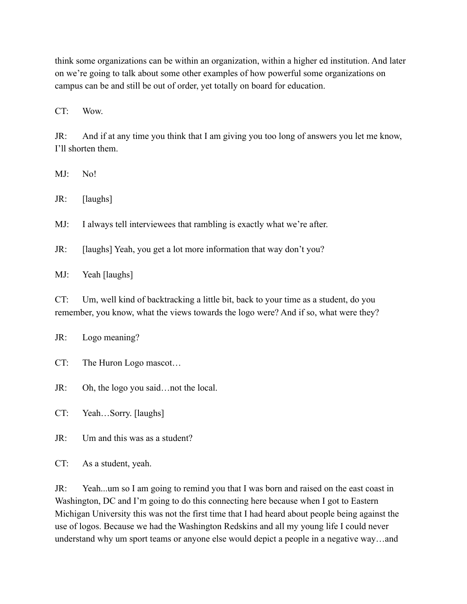think some organizations can be within an organization, within a higher ed institution. And later on we're going to talk about some other examples of how powerful some organizations on campus can be and still be out of order, yet totally on board for education.

CT: Wow.

JR: And if at any time you think that I am giving you too long of answers you let me know, I'll shorten them.

MJ: No!

JR: [laughs]

MJ: I always tell interviewees that rambling is exactly what we're after.

JR: [laughs] Yeah, you get a lot more information that way don't you?

MJ: Yeah [laughs]

CT: Um, well kind of backtracking a little bit, back to your time as a student, do you remember, you know, what the views towards the logo were? And if so, what were they?

JR: Logo meaning?

- CT: The Huron Logo mascot…
- JR: Oh, the logo you said…not the local.

CT: Yeah…Sorry. [laughs]

JR: Um and this was as a student?

CT: As a student, yeah.

JR: Yeah...um so I am going to remind you that I was born and raised on the east coast in Washington, DC and I'm going to do this connecting here because when I got to Eastern Michigan University this was not the first time that I had heard about people being against the use of logos. Because we had the Washington Redskins and all my young life I could never understand why um sport teams or anyone else would depict a people in a negative way…and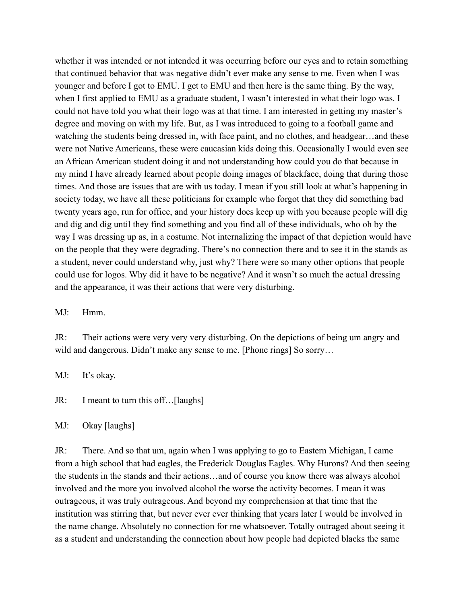whether it was intended or not intended it was occurring before our eyes and to retain something that continued behavior that was negative didn't ever make any sense to me. Even when I was younger and before I got to EMU. I get to EMU and then here is the same thing. By the way, when I first applied to EMU as a graduate student, I wasn't interested in what their logo was. I could not have told you what their logo was at that time. I am interested in getting my master's degree and moving on with my life. But, as I was introduced to going to a football game and watching the students being dressed in, with face paint, and no clothes, and headgear…and these were not Native Americans, these were caucasian kids doing this. Occasionally I would even see an African American student doing it and not understanding how could you do that because in my mind I have already learned about people doing images of blackface, doing that during those times. And those are issues that are with us today. I mean if you still look at what's happening in society today, we have all these politicians for example who forgot that they did something bad twenty years ago, run for office, and your history does keep up with you because people will dig and dig and dig until they find something and you find all of these individuals, who oh by the way I was dressing up as, in a costume. Not internalizing the impact of that depiction would have on the people that they were degrading. There's no connection there and to see it in the stands as a student, never could understand why, just why? There were so many other options that people could use for logos. Why did it have to be negative? And it wasn't so much the actual dressing and the appearance, it was their actions that were very disturbing.

MJ: Hmm.

JR: Their actions were very very very disturbing. On the depictions of being um angry and wild and dangerous. Didn't make any sense to me. [Phone rings] So sorry...

MJ: It's okay.

JR: I meant to turn this off…[laughs]

MJ: Okay [laughs]

JR: There. And so that um, again when I was applying to go to Eastern Michigan, I came from a high school that had eagles, the Frederick Douglas Eagles. Why Hurons? And then seeing the students in the stands and their actions…and of course you know there was always alcohol involved and the more you involved alcohol the worse the activity becomes. I mean it was outrageous, it was truly outrageous. And beyond my comprehension at that time that the institution was stirring that, but never ever ever thinking that years later I would be involved in the name change. Absolutely no connection for me whatsoever. Totally outraged about seeing it as a student and understanding the connection about how people had depicted blacks the same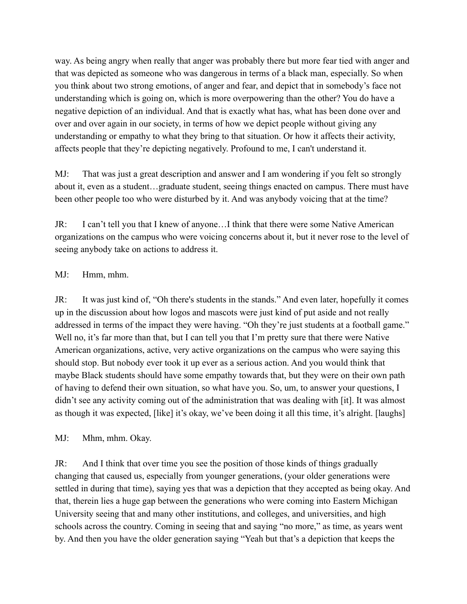way. As being angry when really that anger was probably there but more fear tied with anger and that was depicted as someone who was dangerous in terms of a black man, especially. So when you think about two strong emotions, of anger and fear, and depict that in somebody's face not understanding which is going on, which is more overpowering than the other? You do have a negative depiction of an individual. And that is exactly what has, what has been done over and over and over again in our society, in terms of how we depict people without giving any understanding or empathy to what they bring to that situation. Or how it affects their activity, affects people that they're depicting negatively. Profound to me, I can't understand it.

MJ: That was just a great description and answer and I am wondering if you felt so strongly about it, even as a student…graduate student, seeing things enacted on campus. There must have been other people too who were disturbed by it. And was anybody voicing that at the time?

JR: I can't tell you that I knew of anyone…I think that there were some Native American organizations on the campus who were voicing concerns about it, but it never rose to the level of seeing anybody take on actions to address it.

## MJ: Hmm, mhm.

JR: It was just kind of, "Oh there's students in the stands." And even later, hopefully it comes up in the discussion about how logos and mascots were just kind of put aside and not really addressed in terms of the impact they were having. "Oh they're just students at a football game." Well no, it's far more than that, but I can tell you that I'm pretty sure that there were Native American organizations, active, very active organizations on the campus who were saying this should stop. But nobody ever took it up ever as a serious action. And you would think that maybe Black students should have some empathy towards that, but they were on their own path of having to defend their own situation, so what have you. So, um, to answer your questions, I didn't see any activity coming out of the administration that was dealing with [it]. It was almost as though it was expected, [like] it's okay, we've been doing it all this time, it's alright. [laughs]

MJ: Mhm, mhm. Okay.

JR: And I think that over time you see the position of those kinds of things gradually changing that caused us, especially from younger generations, (your older generations were settled in during that time), saying yes that was a depiction that they accepted as being okay. And that, therein lies a huge gap between the generations who were coming into Eastern Michigan University seeing that and many other institutions, and colleges, and universities, and high schools across the country. Coming in seeing that and saying "no more," as time, as years went by. And then you have the older generation saying "Yeah but that's a depiction that keeps the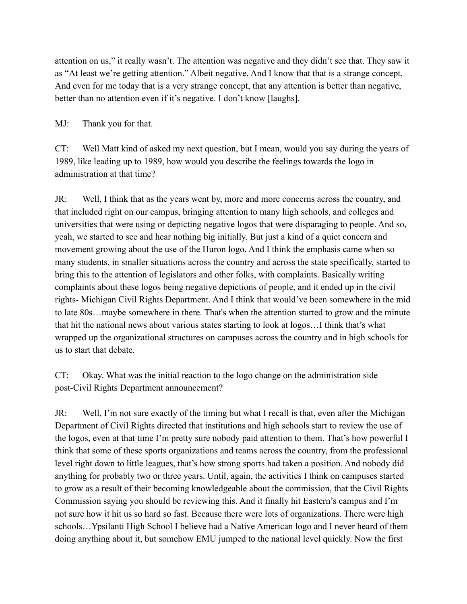attention on us," it really wasn't. The attention was negative and they didn't see that. They saw it as "At least we're getting attention." Albeit negative. And I know that that is a strange concept. And even for me today that is a very strange concept, that any attention is better than negative, better than no attention even if it's negative. I don't know [laughs].

MJ: Thank you for that.

CT: Well Matt kind of asked my next question, but I mean, would you say during the years of 1989, like leading up to 1989, how would you describe the feelings towards the logo in administration at that time?

JR: Well, I think that as the years went by, more and more concerns across the country, and that included right on our campus, bringing attention to many high schools, and colleges and universities that were using or depicting negative logos that were disparaging to people. And so, yeah, we started to see and hear nothing big initially. But just a kind of a quiet concern and movement growing about the use of the Huron logo. And I think the emphasis came when so many students, in smaller situations across the country and across the state specifically, started to bring this to the attention of legislators and other folks, with complaints. Basically writing complaints about these logos being negative depictions of people, and it ended up in the civil rights- Michigan Civil Rights Department. And I think that would've been somewhere in the mid to late 80s…maybe somewhere in there. That's when the attention started to grow and the minute that hit the national news about various states starting to look at logos…I think that's what wrapped up the organizational structures on campuses across the country and in high schools for us to start that debate.

CT: Okay. What was the initial reaction to the logo change on the administration side post-Civil Rights Department announcement?

JR: Well, I'm not sure exactly of the timing but what I recall is that, even after the Michigan Department of Civil Rights directed that institutions and high schools start to review the use of the logos, even at that time I'm pretty sure nobody paid attention to them. That's how powerful I think that some of these sports organizations and teams across the country, from the professional level right down to little leagues, that's how strong sports had taken a position. And nobody did anything for probably two or three years. Until, again, the activities I think on campuses started to grow as a result of their becoming knowledgeable about the commission, that the Civil Rights Commission saying you should be reviewing this. And it finally hit Eastern's campus and I'm not sure how it hit us so hard so fast. Because there were lots of organizations. There were high schools…Ypsilanti High School I believe had a Native American logo and I never heard of them doing anything about it, but somehow EMU jumped to the national level quickly. Now the first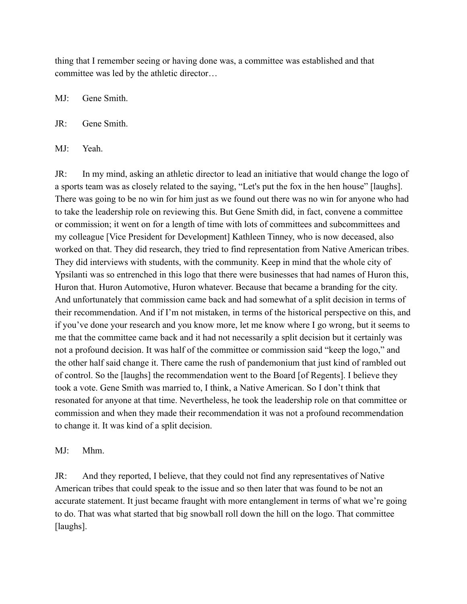thing that I remember seeing or having done was, a committee was established and that committee was led by the athletic director…

MJ: Gene Smith.

JR: Gene Smith.

MJ: Yeah.

JR: In my mind, asking an athletic director to lead an initiative that would change the logo of a sports team was as closely related to the saying, "Let's put the fox in the hen house" [laughs]. There was going to be no win for him just as we found out there was no win for anyone who had to take the leadership role on reviewing this. But Gene Smith did, in fact, convene a committee or commission; it went on for a length of time with lots of committees and subcommittees and my colleague [Vice President for Development] Kathleen Tinney, who is now deceased, also worked on that. They did research, they tried to find representation from Native American tribes. They did interviews with students, with the community. Keep in mind that the whole city of Ypsilanti was so entrenched in this logo that there were businesses that had names of Huron this, Huron that. Huron Automotive, Huron whatever. Because that became a branding for the city. And unfortunately that commission came back and had somewhat of a split decision in terms of their recommendation. And if I'm not mistaken, in terms of the historical perspective on this, and if you've done your research and you know more, let me know where I go wrong, but it seems to me that the committee came back and it had not necessarily a split decision but it certainly was not a profound decision. It was half of the committee or commission said "keep the logo," and the other half said change it. There came the rush of pandemonium that just kind of rambled out of control. So the [laughs] the recommendation went to the Board [of Regents]. I believe they took a vote. Gene Smith was married to, I think, a Native American. So I don't think that resonated for anyone at that time. Nevertheless, he took the leadership role on that committee or commission and when they made their recommendation it was not a profound recommendation to change it. It was kind of a split decision.

## MJ: Mhm.

JR: And they reported, I believe, that they could not find any representatives of Native American tribes that could speak to the issue and so then later that was found to be not an accurate statement. It just became fraught with more entanglement in terms of what we're going to do. That was what started that big snowball roll down the hill on the logo. That committee [laughs].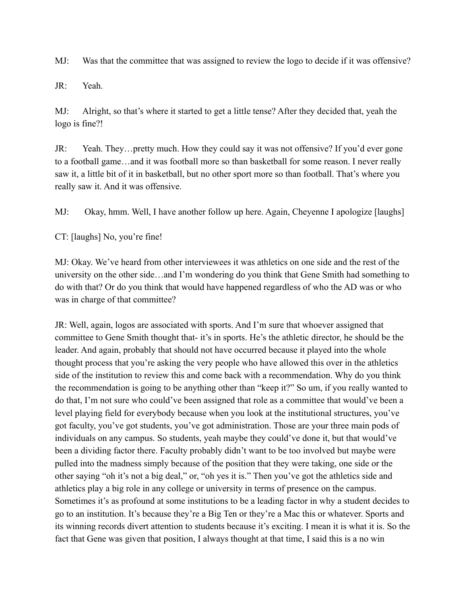MJ: Was that the committee that was assigned to review the logo to decide if it was offensive?

JR: Yeah.

MJ: Alright, so that's where it started to get a little tense? After they decided that, yeah the logo is fine?!

JR: Yeah. They…pretty much. How they could say it was not offensive? If you'd ever gone to a football game…and it was football more so than basketball for some reason. I never really saw it, a little bit of it in basketball, but no other sport more so than football. That's where you really saw it. And it was offensive.

MJ: Okay, hmm. Well, I have another follow up here. Again, Cheyenne I apologize [laughs]

CT: [laughs] No, you're fine!

MJ: Okay. We've heard from other interviewees it was athletics on one side and the rest of the university on the other side…and I'm wondering do you think that Gene Smith had something to do with that? Or do you think that would have happened regardless of who the AD was or who was in charge of that committee?

JR: Well, again, logos are associated with sports. And I'm sure that whoever assigned that committee to Gene Smith thought that- it's in sports. He's the athletic director, he should be the leader. And again, probably that should not have occurred because it played into the whole thought process that you're asking the very people who have allowed this over in the athletics side of the institution to review this and come back with a recommendation. Why do you think the recommendation is going to be anything other than "keep it?" So um, if you really wanted to do that, I'm not sure who could've been assigned that role as a committee that would've been a level playing field for everybody because when you look at the institutional structures, you've got faculty, you've got students, you've got administration. Those are your three main pods of individuals on any campus. So students, yeah maybe they could've done it, but that would've been a dividing factor there. Faculty probably didn't want to be too involved but maybe were pulled into the madness simply because of the position that they were taking, one side or the other saying "oh it's not a big deal," or, "oh yes it is." Then you've got the athletics side and athletics play a big role in any college or university in terms of presence on the campus. Sometimes it's as profound at some institutions to be a leading factor in why a student decides to go to an institution. It's because they're a Big Ten or they're a Mac this or whatever. Sports and its winning records divert attention to students because it's exciting. I mean it is what it is. So the fact that Gene was given that position, I always thought at that time, I said this is a no win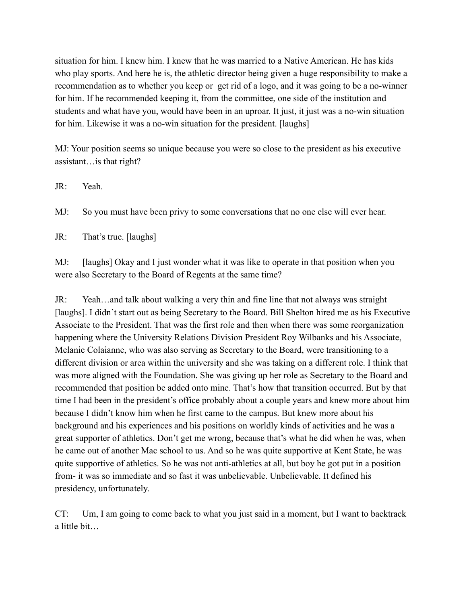situation for him. I knew him. I knew that he was married to a Native American. He has kids who play sports. And here he is, the athletic director being given a huge responsibility to make a recommendation as to whether you keep or get rid of a logo, and it was going to be a no-winner for him. If he recommended keeping it, from the committee, one side of the institution and students and what have you, would have been in an uproar. It just, it just was a no-win situation for him. Likewise it was a no-win situation for the president. [laughs]

MJ: Your position seems so unique because you were so close to the president as his executive assistant…is that right?

JR: Yeah.

MJ: So you must have been privy to some conversations that no one else will ever hear.

JR: That's true. [laughs]

MJ: [laughs] Okay and I just wonder what it was like to operate in that position when you were also Secretary to the Board of Regents at the same time?

JR: Yeah…and talk about walking a very thin and fine line that not always was straight [laughs]. I didn't start out as being Secretary to the Board. Bill Shelton hired me as his Executive Associate to the President. That was the first role and then when there was some reorganization happening where the University Relations Division President Roy Wilbanks and his Associate, Melanie Colaianne, who was also serving as Secretary to the Board, were transitioning to a different division or area within the university and she was taking on a different role. I think that was more aligned with the Foundation. She was giving up her role as Secretary to the Board and recommended that position be added onto mine. That's how that transition occurred. But by that time I had been in the president's office probably about a couple years and knew more about him because I didn't know him when he first came to the campus. But knew more about his background and his experiences and his positions on worldly kinds of activities and he was a great supporter of athletics. Don't get me wrong, because that's what he did when he was, when he came out of another Mac school to us. And so he was quite supportive at Kent State, he was quite supportive of athletics. So he was not anti-athletics at all, but boy he got put in a position from- it was so immediate and so fast it was unbelievable. Unbelievable. It defined his presidency, unfortunately.

CT: Um, I am going to come back to what you just said in a moment, but I want to backtrack a little bit…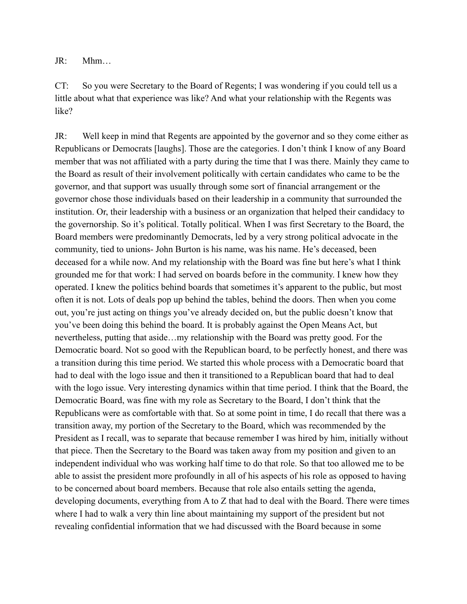JR: Mhm…

CT: So you were Secretary to the Board of Regents; I was wondering if you could tell us a little about what that experience was like? And what your relationship with the Regents was like?

JR: Well keep in mind that Regents are appointed by the governor and so they come either as Republicans or Democrats [laughs]. Those are the categories. I don't think I know of any Board member that was not affiliated with a party during the time that I was there. Mainly they came to the Board as result of their involvement politically with certain candidates who came to be the governor, and that support was usually through some sort of financial arrangement or the governor chose those individuals based on their leadership in a community that surrounded the institution. Or, their leadership with a business or an organization that helped their candidacy to the governorship. So it's political. Totally political. When I was first Secretary to the Board, the Board members were predominantly Democrats, led by a very strong political advocate in the community, tied to unions- John Burton is his name, was his name. He's deceased, been deceased for a while now. And my relationship with the Board was fine but here's what I think grounded me for that work: I had served on boards before in the community. I knew how they operated. I knew the politics behind boards that sometimes it's apparent to the public, but most often it is not. Lots of deals pop up behind the tables, behind the doors. Then when you come out, you're just acting on things you've already decided on, but the public doesn't know that you've been doing this behind the board. It is probably against the Open Means Act, but nevertheless, putting that aside…my relationship with the Board was pretty good. For the Democratic board. Not so good with the Republican board, to be perfectly honest, and there was a transition during this time period. We started this whole process with a Democratic board that had to deal with the logo issue and then it transitioned to a Republican board that had to deal with the logo issue. Very interesting dynamics within that time period. I think that the Board, the Democratic Board, was fine with my role as Secretary to the Board, I don't think that the Republicans were as comfortable with that. So at some point in time, I do recall that there was a transition away, my portion of the Secretary to the Board, which was recommended by the President as I recall, was to separate that because remember I was hired by him, initially without that piece. Then the Secretary to the Board was taken away from my position and given to an independent individual who was working half time to do that role. So that too allowed me to be able to assist the president more profoundly in all of his aspects of his role as opposed to having to be concerned about board members. Because that role also entails setting the agenda, developing documents, everything from A to Z that had to deal with the Board. There were times where I had to walk a very thin line about maintaining my support of the president but not revealing confidential information that we had discussed with the Board because in some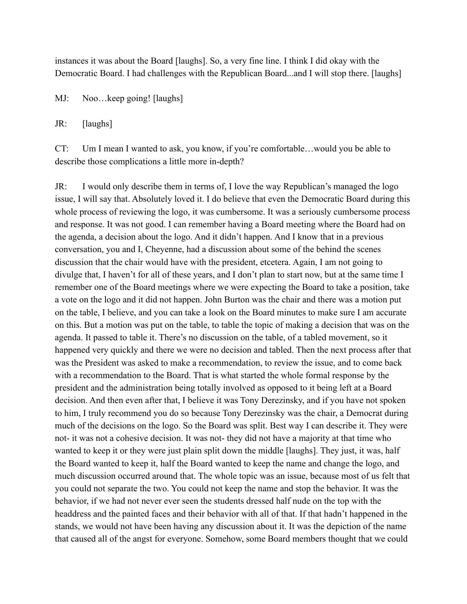instances it was about the Board [laughs]. So, a very fine line. I think I did okay with the Democratic Board. I had challenges with the Republican Board...and I will stop there. [laughs]

MJ: Noo…keep going! [laughs]

JR: [laughs]

CT: Um I mean I wanted to ask, you know, if you're comfortable…would you be able to describe those complications a little more in-depth?

JR: I would only describe them in terms of, I love the way Republican's managed the logo issue, I will say that. Absolutely loved it. I do believe that even the Democratic Board during this whole process of reviewing the logo, it was cumbersome. It was a seriously cumbersome process and response. It was not good. I can remember having a Board meeting where the Board had on the agenda, a decision about the logo. And it didn't happen. And I know that in a previous conversation, you and I, Cheyenne, had a discussion about some of the behind the scenes discussion that the chair would have with the president, etcetera. Again, I am not going to divulge that, I haven't for all of these years, and I don't plan to start now, but at the same time I remember one of the Board meetings where we were expecting the Board to take a position, take a vote on the logo and it did not happen. John Burton was the chair and there was a motion put on the table, I believe, and you can take a look on the Board minutes to make sure I am accurate on this. But a motion was put on the table, to table the topic of making a decision that was on the agenda. It passed to table it. There's no discussion on the table, of a tabled movement, so it happened very quickly and there we were no decision and tabled. Then the next process after that was the President was asked to make a recommendation, to review the issue, and to come back with a recommendation to the Board. That is what started the whole formal response by the president and the administration being totally involved as opposed to it being left at a Board decision. And then even after that, I believe it was Tony Derezinsky, and if you have not spoken to him, I truly recommend you do so because Tony Derezinsky was the chair, a Democrat during much of the decisions on the logo. So the Board was split. Best way I can describe it. They were not- it was not a cohesive decision. It was not- they did not have a majority at that time who wanted to keep it or they were just plain split down the middle [laughs]. They just, it was, half the Board wanted to keep it, half the Board wanted to keep the name and change the logo, and much discussion occurred around that. The whole topic was an issue, because most of us felt that you could not separate the two. You could not keep the name and stop the behavior. It was the behavior, if we had not never ever seen the students dressed half nude on the top with the headdress and the painted faces and their behavior with all of that. If that hadn't happened in the stands, we would not have been having any discussion about it. It was the depiction of the name that caused all of the angst for everyone. Somehow, some Board members thought that we could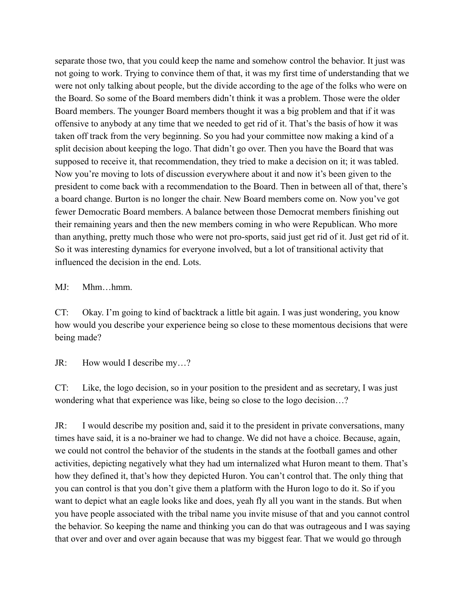separate those two, that you could keep the name and somehow control the behavior. It just was not going to work. Trying to convince them of that, it was my first time of understanding that we were not only talking about people, but the divide according to the age of the folks who were on the Board. So some of the Board members didn't think it was a problem. Those were the older Board members. The younger Board members thought it was a big problem and that if it was offensive to anybody at any time that we needed to get rid of it. That's the basis of how it was taken off track from the very beginning. So you had your committee now making a kind of a split decision about keeping the logo. That didn't go over. Then you have the Board that was supposed to receive it, that recommendation, they tried to make a decision on it; it was tabled. Now you're moving to lots of discussion everywhere about it and now it's been given to the president to come back with a recommendation to the Board. Then in between all of that, there's a board change. Burton is no longer the chair. New Board members come on. Now you've got fewer Democratic Board members. A balance between those Democrat members finishing out their remaining years and then the new members coming in who were Republican. Who more than anything, pretty much those who were not pro-sports, said just get rid of it. Just get rid of it. So it was interesting dynamics for everyone involved, but a lot of transitional activity that influenced the decision in the end. Lots.

MJ: Mhm…hmm.

CT: Okay. I'm going to kind of backtrack a little bit again. I was just wondering, you know how would you describe your experience being so close to these momentous decisions that were being made?

JR: How would I describe my…?

CT: Like, the logo decision, so in your position to the president and as secretary, I was just wondering what that experience was like, being so close to the logo decision…?

JR: I would describe my position and, said it to the president in private conversations, many times have said, it is a no-brainer we had to change. We did not have a choice. Because, again, we could not control the behavior of the students in the stands at the football games and other activities, depicting negatively what they had um internalized what Huron meant to them. That's how they defined it, that's how they depicted Huron. You can't control that. The only thing that you can control is that you don't give them a platform with the Huron logo to do it. So if you want to depict what an eagle looks like and does, yeah fly all you want in the stands. But when you have people associated with the tribal name you invite misuse of that and you cannot control the behavior. So keeping the name and thinking you can do that was outrageous and I was saying that over and over and over again because that was my biggest fear. That we would go through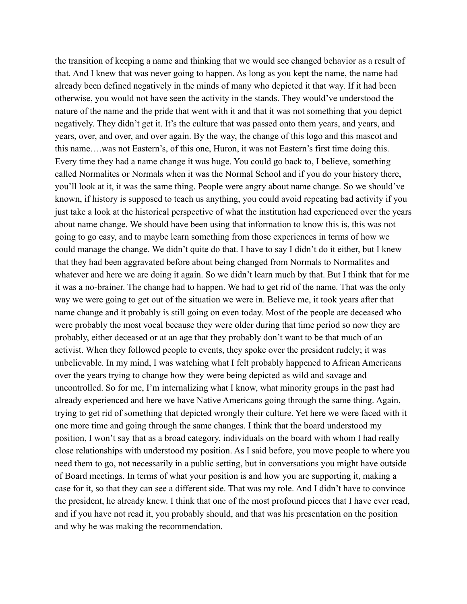the transition of keeping a name and thinking that we would see changed behavior as a result of that. And I knew that was never going to happen. As long as you kept the name, the name had already been defined negatively in the minds of many who depicted it that way. If it had been otherwise, you would not have seen the activity in the stands. They would've understood the nature of the name and the pride that went with it and that it was not something that you depict negatively. They didn't get it. It's the culture that was passed onto them years, and years, and years, over, and over, and over again. By the way, the change of this logo and this mascot and this name….was not Eastern's, of this one, Huron, it was not Eastern's first time doing this. Every time they had a name change it was huge. You could go back to, I believe, something called Normalites or Normals when it was the Normal School and if you do your history there, you'll look at it, it was the same thing. People were angry about name change. So we should've known, if history is supposed to teach us anything, you could avoid repeating bad activity if you just take a look at the historical perspective of what the institution had experienced over the years about name change. We should have been using that information to know this is, this was not going to go easy, and to maybe learn something from those experiences in terms of how we could manage the change. We didn't quite do that. I have to say I didn't do it either, but I knew that they had been aggravated before about being changed from Normals to Normalites and whatever and here we are doing it again. So we didn't learn much by that. But I think that for me it was a no-brainer. The change had to happen. We had to get rid of the name. That was the only way we were going to get out of the situation we were in. Believe me, it took years after that name change and it probably is still going on even today. Most of the people are deceased who were probably the most vocal because they were older during that time period so now they are probably, either deceased or at an age that they probably don't want to be that much of an activist. When they followed people to events, they spoke over the president rudely; it was unbelievable. In my mind, I was watching what I felt probably happened to African Americans over the years trying to change how they were being depicted as wild and savage and uncontrolled. So for me, I'm internalizing what I know, what minority groups in the past had already experienced and here we have Native Americans going through the same thing. Again, trying to get rid of something that depicted wrongly their culture. Yet here we were faced with it one more time and going through the same changes. I think that the board understood my position, I won't say that as a broad category, individuals on the board with whom I had really close relationships with understood my position. As I said before, you move people to where you need them to go, not necessarily in a public setting, but in conversations you might have outside of Board meetings. In terms of what your position is and how you are supporting it, making a case for it, so that they can see a different side. That was my role. And I didn't have to convince the president, he already knew. I think that one of the most profound pieces that I have ever read, and if you have not read it, you probably should, and that was his presentation on the position and why he was making the recommendation.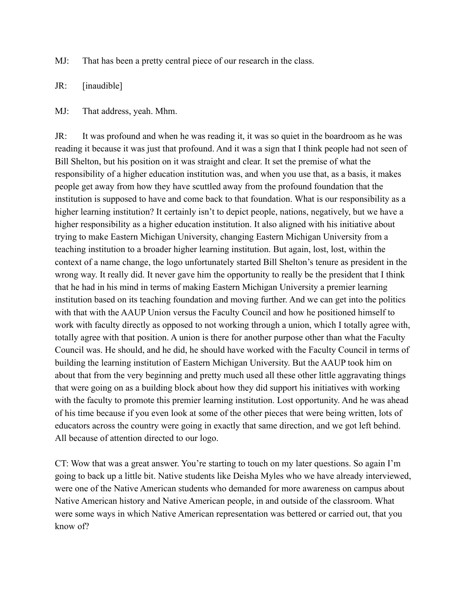MJ: That has been a pretty central piece of our research in the class.

JR: [inaudible]

MJ: That address, yeah. Mhm.

JR: It was profound and when he was reading it, it was so quiet in the boardroom as he was reading it because it was just that profound. And it was a sign that I think people had not seen of Bill Shelton, but his position on it was straight and clear. It set the premise of what the responsibility of a higher education institution was, and when you use that, as a basis, it makes people get away from how they have scuttled away from the profound foundation that the institution is supposed to have and come back to that foundation. What is our responsibility as a higher learning institution? It certainly isn't to depict people, nations, negatively, but we have a higher responsibility as a higher education institution. It also aligned with his initiative about trying to make Eastern Michigan University, changing Eastern Michigan University from a teaching institution to a broader higher learning institution. But again, lost, lost, within the context of a name change, the logo unfortunately started Bill Shelton's tenure as president in the wrong way. It really did. It never gave him the opportunity to really be the president that I think that he had in his mind in terms of making Eastern Michigan University a premier learning institution based on its teaching foundation and moving further. And we can get into the politics with that with the AAUP Union versus the Faculty Council and how he positioned himself to work with faculty directly as opposed to not working through a union, which I totally agree with, totally agree with that position. A union is there for another purpose other than what the Faculty Council was. He should, and he did, he should have worked with the Faculty Council in terms of building the learning institution of Eastern Michigan University. But the AAUP took him on about that from the very beginning and pretty much used all these other little aggravating things that were going on as a building block about how they did support his initiatives with working with the faculty to promote this premier learning institution. Lost opportunity. And he was ahead of his time because if you even look at some of the other pieces that were being written, lots of educators across the country were going in exactly that same direction, and we got left behind. All because of attention directed to our logo.

CT: Wow that was a great answer. You're starting to touch on my later questions. So again I'm going to back up a little bit. Native students like Deisha Myles who we have already interviewed, were one of the Native American students who demanded for more awareness on campus about Native American history and Native American people, in and outside of the classroom. What were some ways in which Native American representation was bettered or carried out, that you know of?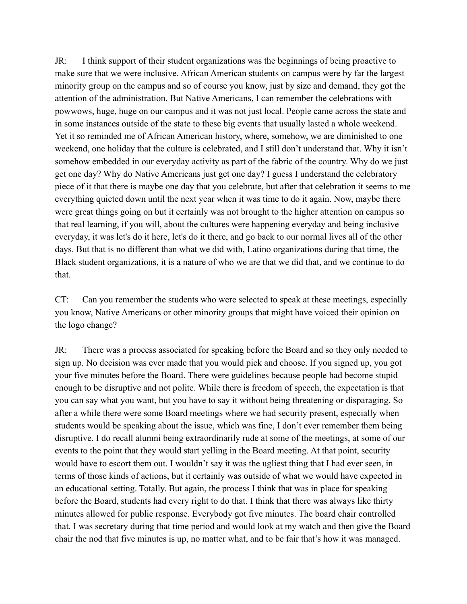JR: I think support of their student organizations was the beginnings of being proactive to make sure that we were inclusive. African American students on campus were by far the largest minority group on the campus and so of course you know, just by size and demand, they got the attention of the administration. But Native Americans, I can remember the celebrations with powwows, huge, huge on our campus and it was not just local. People came across the state and in some instances outside of the state to these big events that usually lasted a whole weekend. Yet it so reminded me of African American history, where, somehow, we are diminished to one weekend, one holiday that the culture is celebrated, and I still don't understand that. Why it isn't somehow embedded in our everyday activity as part of the fabric of the country. Why do we just get one day? Why do Native Americans just get one day? I guess I understand the celebratory piece of it that there is maybe one day that you celebrate, but after that celebration it seems to me everything quieted down until the next year when it was time to do it again. Now, maybe there were great things going on but it certainly was not brought to the higher attention on campus so that real learning, if you will, about the cultures were happening everyday and being inclusive everyday, it was let's do it here, let's do it there, and go back to our normal lives all of the other days. But that is no different than what we did with, Latino organizations during that time, the Black student organizations, it is a nature of who we are that we did that, and we continue to do that.

CT: Can you remember the students who were selected to speak at these meetings, especially you know, Native Americans or other minority groups that might have voiced their opinion on the logo change?

JR: There was a process associated for speaking before the Board and so they only needed to sign up. No decision was ever made that you would pick and choose. If you signed up, you got your five minutes before the Board. There were guidelines because people had become stupid enough to be disruptive and not polite. While there is freedom of speech, the expectation is that you can say what you want, but you have to say it without being threatening or disparaging. So after a while there were some Board meetings where we had security present, especially when students would be speaking about the issue, which was fine, I don't ever remember them being disruptive. I do recall alumni being extraordinarily rude at some of the meetings, at some of our events to the point that they would start yelling in the Board meeting. At that point, security would have to escort them out. I wouldn't say it was the ugliest thing that I had ever seen, in terms of those kinds of actions, but it certainly was outside of what we would have expected in an educational setting. Totally. But again, the process I think that was in place for speaking before the Board, students had every right to do that. I think that there was always like thirty minutes allowed for public response. Everybody got five minutes. The board chair controlled that. I was secretary during that time period and would look at my watch and then give the Board chair the nod that five minutes is up, no matter what, and to be fair that's how it was managed.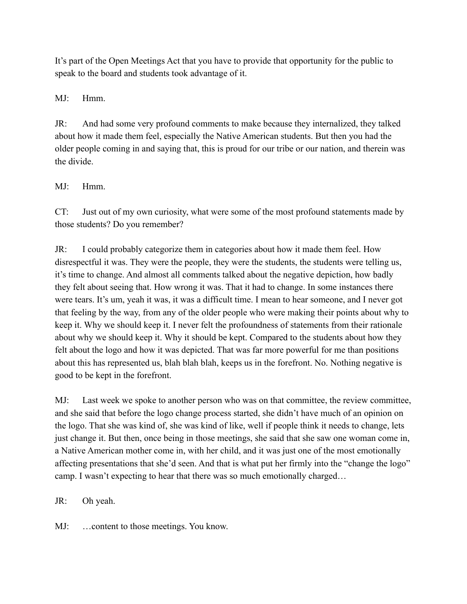It's part of the Open Meetings Act that you have to provide that opportunity for the public to speak to the board and students took advantage of it.

MJ: Hmm.

JR: And had some very profound comments to make because they internalized, they talked about how it made them feel, especially the Native American students. But then you had the older people coming in and saying that, this is proud for our tribe or our nation, and therein was the divide.

## MJ: Hmm.

CT: Just out of my own curiosity, what were some of the most profound statements made by those students? Do you remember?

JR: I could probably categorize them in categories about how it made them feel. How disrespectful it was. They were the people, they were the students, the students were telling us, it's time to change. And almost all comments talked about the negative depiction, how badly they felt about seeing that. How wrong it was. That it had to change. In some instances there were tears. It's um, yeah it was, it was a difficult time. I mean to hear someone, and I never got that feeling by the way, from any of the older people who were making their points about why to keep it. Why we should keep it. I never felt the profoundness of statements from their rationale about why we should keep it. Why it should be kept. Compared to the students about how they felt about the logo and how it was depicted. That was far more powerful for me than positions about this has represented us, blah blah blah, keeps us in the forefront. No. Nothing negative is good to be kept in the forefront.

MJ: Last week we spoke to another person who was on that committee, the review committee, and she said that before the logo change process started, she didn't have much of an opinion on the logo. That she was kind of, she was kind of like, well if people think it needs to change, lets just change it. But then, once being in those meetings, she said that she saw one woman come in, a Native American mother come in, with her child, and it was just one of the most emotionally affecting presentations that she'd seen. And that is what put her firmly into the "change the logo" camp. I wasn't expecting to hear that there was so much emotionally charged…

JR: Oh yeah.

MJ: …content to those meetings. You know.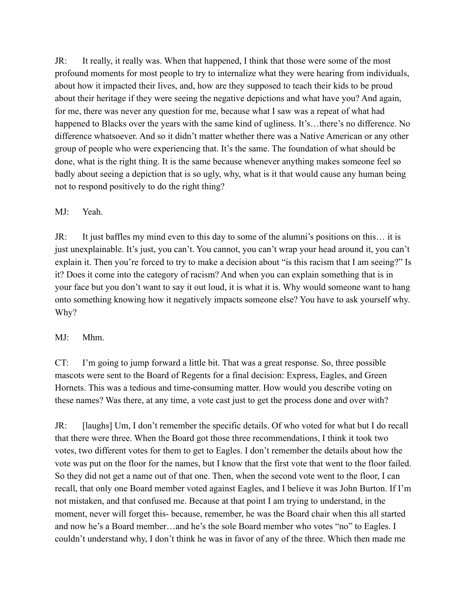JR: It really, it really was. When that happened, I think that those were some of the most profound moments for most people to try to internalize what they were hearing from individuals, about how it impacted their lives, and, how are they supposed to teach their kids to be proud about their heritage if they were seeing the negative depictions and what have you? And again, for me, there was never any question for me, because what I saw was a repeat of what had happened to Blacks over the years with the same kind of ugliness. It's…there's no difference. No difference whatsoever. And so it didn't matter whether there was a Native American or any other group of people who were experiencing that. It's the same. The foundation of what should be done, what is the right thing. It is the same because whenever anything makes someone feel so badly about seeing a depiction that is so ugly, why, what is it that would cause any human being not to respond positively to do the right thing?

### MJ: Yeah.

JR: It just baffles my mind even to this day to some of the alumni's positions on this… it is just unexplainable. It's just, you can't. You cannot, you can't wrap your head around it, you can't explain it. Then you're forced to try to make a decision about "is this racism that I am seeing?" Is it? Does it come into the category of racism? And when you can explain something that is in your face but you don't want to say it out loud, it is what it is. Why would someone want to hang onto something knowing how it negatively impacts someone else? You have to ask yourself why. Why?

#### MJ: Mhm.

CT: I'm going to jump forward a little bit. That was a great response. So, three possible mascots were sent to the Board of Regents for a final decision: Express, Eagles, and Green Hornets. This was a tedious and time-consuming matter. How would you describe voting on these names? Was there, at any time, a vote cast just to get the process done and over with?

JR: [laughs] Um, I don't remember the specific details. Of who voted for what but I do recall that there were three. When the Board got those three recommendations, I think it took two votes, two different votes for them to get to Eagles. I don't remember the details about how the vote was put on the floor for the names, but I know that the first vote that went to the floor failed. So they did not get a name out of that one. Then, when the second vote went to the floor, I can recall, that only one Board member voted against Eagles, and I believe it was John Burton. If I'm not mistaken, and that confused me. Because at that point I am trying to understand, in the moment, never will forget this- because, remember, he was the Board chair when this all started and now he's a Board member…and he's the sole Board member who votes "no" to Eagles. I couldn't understand why, I don't think he was in favor of any of the three. Which then made me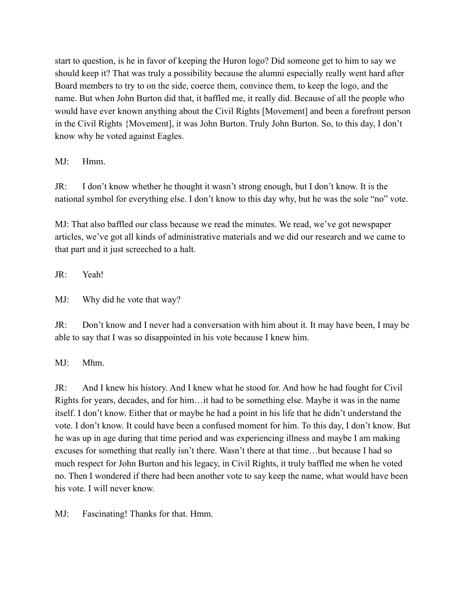start to question, is he in favor of keeping the Huron logo? Did someone get to him to say we should keep it? That was truly a possibility because the alumni especially really went hard after Board members to try to on the side, coerce them, convince them, to keep the logo, and the name. But when John Burton did that, it baffled me, it really did. Because of all the people who would have ever known anything about the Civil Rights [Movement] and been a forefront person in the Civil Rights {Movement], it was John Burton. Truly John Burton. So, to this day, I don't know why he voted against Eagles.

MJ: Hmm.

JR: I don't know whether he thought it wasn't strong enough, but I don't know. It is the national symbol for everything else. I don't know to this day why, but he was the sole "no" vote.

MJ: That also baffled our class because we read the minutes. We read, we've got newspaper articles, we've got all kinds of administrative materials and we did our research and we came to that part and it just screeched to a halt.

JR: Yeah!

MJ: Why did he vote that way?

JR: Don't know and I never had a conversation with him about it. It may have been, I may be able to say that I was so disappointed in his vote because I knew him.

MJ: Mhm.

JR: And I knew his history. And I knew what he stood for. And how he had fought for Civil Rights for years, decades, and for him…it had to be something else. Maybe it was in the name itself. I don't know. Either that or maybe he had a point in his life that he didn't understand the vote. I don't know. It could have been a confused moment for him. To this day, I don't know. But he was up in age during that time period and was experiencing illness and maybe I am making excuses for something that really isn't there. Wasn't there at that time…but because I had so much respect for John Burton and his legacy, in Civil Rights, it truly baffled me when he voted no. Then I wondered if there had been another vote to say keep the name, what would have been his vote. I will never know.

MJ: Fascinating! Thanks for that. Hmm.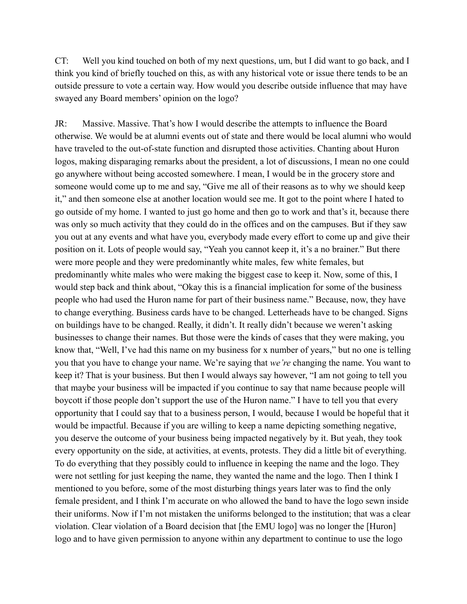CT: Well you kind touched on both of my next questions, um, but I did want to go back, and I think you kind of briefly touched on this, as with any historical vote or issue there tends to be an outside pressure to vote a certain way. How would you describe outside influence that may have swayed any Board members' opinion on the logo?

JR: Massive. Massive. That's how I would describe the attempts to influence the Board otherwise. We would be at alumni events out of state and there would be local alumni who would have traveled to the out-of-state function and disrupted those activities. Chanting about Huron logos, making disparaging remarks about the president, a lot of discussions, I mean no one could go anywhere without being accosted somewhere. I mean, I would be in the grocery store and someone would come up to me and say, "Give me all of their reasons as to why we should keep it," and then someone else at another location would see me. It got to the point where I hated to go outside of my home. I wanted to just go home and then go to work and that's it, because there was only so much activity that they could do in the offices and on the campuses. But if they saw you out at any events and what have you, everybody made every effort to come up and give their position on it. Lots of people would say, "Yeah you cannot keep it, it's a no brainer." But there were more people and they were predominantly white males, few white females, but predominantly white males who were making the biggest case to keep it. Now, some of this, I would step back and think about, "Okay this is a financial implication for some of the business people who had used the Huron name for part of their business name." Because, now, they have to change everything. Business cards have to be changed. Letterheads have to be changed. Signs on buildings have to be changed. Really, it didn't. It really didn't because we weren't asking businesses to change their names. But those were the kinds of cases that they were making, you know that, "Well, I've had this name on my business for x number of years," but no one is telling you that you have to change your name. We're saying that *we're* changing the name. You want to keep it? That is your business. But then I would always say however, "I am not going to tell you that maybe your business will be impacted if you continue to say that name because people will boycott if those people don't support the use of the Huron name." I have to tell you that every opportunity that I could say that to a business person, I would, because I would be hopeful that it would be impactful. Because if you are willing to keep a name depicting something negative, you deserve the outcome of your business being impacted negatively by it. But yeah, they took every opportunity on the side, at activities, at events, protests. They did a little bit of everything. To do everything that they possibly could to influence in keeping the name and the logo. They were not settling for just keeping the name, they wanted the name and the logo. Then I think I mentioned to you before, some of the most disturbing things years later was to find the only female president, and I think I'm accurate on who allowed the band to have the logo sewn inside their uniforms. Now if I'm not mistaken the uniforms belonged to the institution; that was a clear violation. Clear violation of a Board decision that [the EMU logo] was no longer the [Huron] logo and to have given permission to anyone within any department to continue to use the logo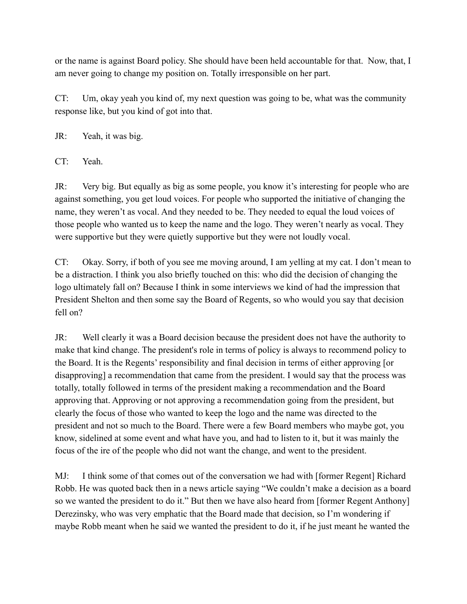or the name is against Board policy. She should have been held accountable for that. Now, that, I am never going to change my position on. Totally irresponsible on her part.

CT: Um, okay yeah you kind of, my next question was going to be, what was the community response like, but you kind of got into that.

JR: Yeah, it was big.

CT: Yeah.

JR: Very big. But equally as big as some people, you know it's interesting for people who are against something, you get loud voices. For people who supported the initiative of changing the name, they weren't as vocal. And they needed to be. They needed to equal the loud voices of those people who wanted us to keep the name and the logo. They weren't nearly as vocal. They were supportive but they were quietly supportive but they were not loudly vocal.

CT: Okay. Sorry, if both of you see me moving around, I am yelling at my cat. I don't mean to be a distraction. I think you also briefly touched on this: who did the decision of changing the logo ultimately fall on? Because I think in some interviews we kind of had the impression that President Shelton and then some say the Board of Regents, so who would you say that decision fell on?

JR: Well clearly it was a Board decision because the president does not have the authority to make that kind change. The president's role in terms of policy is always to recommend policy to the Board. It is the Regents' responsibility and final decision in terms of either approving [or disapproving] a recommendation that came from the president. I would say that the process was totally, totally followed in terms of the president making a recommendation and the Board approving that. Approving or not approving a recommendation going from the president, but clearly the focus of those who wanted to keep the logo and the name was directed to the president and not so much to the Board. There were a few Board members who maybe got, you know, sidelined at some event and what have you, and had to listen to it, but it was mainly the focus of the ire of the people who did not want the change, and went to the president.

MJ: I think some of that comes out of the conversation we had with [former Regent] Richard Robb. He was quoted back then in a news article saying "We couldn't make a decision as a board so we wanted the president to do it." But then we have also heard from [former Regent Anthony] Derezinsky, who was very emphatic that the Board made that decision, so I'm wondering if maybe Robb meant when he said we wanted the president to do it, if he just meant he wanted the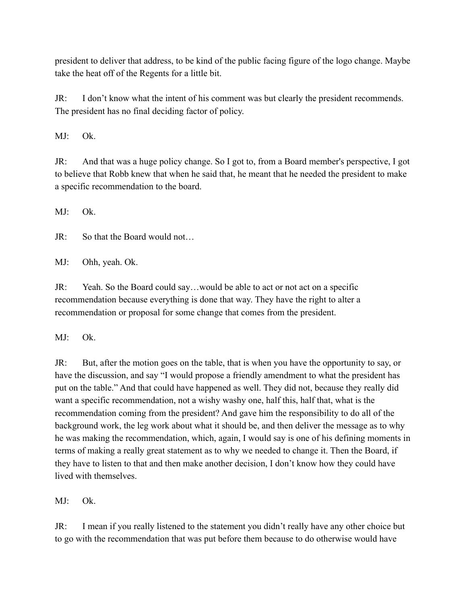president to deliver that address, to be kind of the public facing figure of the logo change. Maybe take the heat off of the Regents for a little bit.

JR: I don't know what the intent of his comment was but clearly the president recommends. The president has no final deciding factor of policy.

MJ: Ok.

JR: And that was a huge policy change. So I got to, from a Board member's perspective, I got to believe that Robb knew that when he said that, he meant that he needed the president to make a specific recommendation to the board.

 $MI^{\cdot}$  Ok.

JR: So that the Board would not…

MJ: Ohh, yeah. Ok.

JR: Yeah. So the Board could say…would be able to act or not act on a specific recommendation because everything is done that way. They have the right to alter a recommendation or proposal for some change that comes from the president.

MJ: Ok.

JR: But, after the motion goes on the table, that is when you have the opportunity to say, or have the discussion, and say "I would propose a friendly amendment to what the president has put on the table." And that could have happened as well. They did not, because they really did want a specific recommendation, not a wishy washy one, half this, half that, what is the recommendation coming from the president? And gave him the responsibility to do all of the background work, the leg work about what it should be, and then deliver the message as to why he was making the recommendation, which, again, I would say is one of his defining moments in terms of making a really great statement as to why we needed to change it. Then the Board, if they have to listen to that and then make another decision, I don't know how they could have lived with themselves.

MJ: Ok.

JR: I mean if you really listened to the statement you didn't really have any other choice but to go with the recommendation that was put before them because to do otherwise would have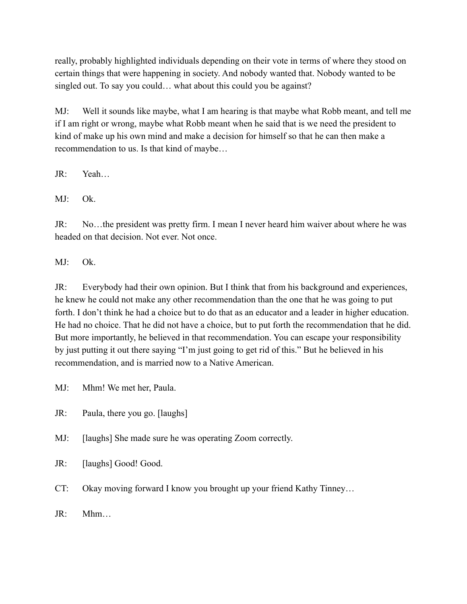really, probably highlighted individuals depending on their vote in terms of where they stood on certain things that were happening in society. And nobody wanted that. Nobody wanted to be singled out. To say you could... what about this could you be against?

MJ: Well it sounds like maybe, what I am hearing is that maybe what Robb meant, and tell me if I am right or wrong, maybe what Robb meant when he said that is we need the president to kind of make up his own mind and make a decision for himself so that he can then make a recommendation to us. Is that kind of maybe…

JR: Yeah…

MJ: Ok.

JR: No…the president was pretty firm. I mean I never heard him waiver about where he was headed on that decision. Not ever. Not once.

MJ: Ok.

JR: Everybody had their own opinion. But I think that from his background and experiences, he knew he could not make any other recommendation than the one that he was going to put forth. I don't think he had a choice but to do that as an educator and a leader in higher education. He had no choice. That he did not have a choice, but to put forth the recommendation that he did. But more importantly, he believed in that recommendation. You can escape your responsibility by just putting it out there saying "I'm just going to get rid of this." But he believed in his recommendation, and is married now to a Native American.

MJ: Mhm! We met her, Paula.

JR: Paula, there you go. [laughs]

MJ: [laughs] She made sure he was operating Zoom correctly.

JR: [laughs] Good! Good.

CT: Okay moving forward I know you brought up your friend Kathy Tinney…

 $JR \cdot Mhm$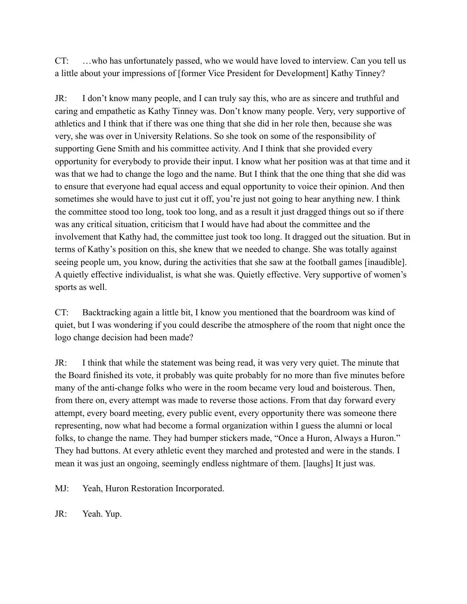CT: …who has unfortunately passed, who we would have loved to interview. Can you tell us a little about your impressions of [former Vice President for Development] Kathy Tinney?

JR: I don't know many people, and I can truly say this, who are as sincere and truthful and caring and empathetic as Kathy Tinney was. Don't know many people. Very, very supportive of athletics and I think that if there was one thing that she did in her role then, because she was very, she was over in University Relations. So she took on some of the responsibility of supporting Gene Smith and his committee activity. And I think that she provided every opportunity for everybody to provide their input. I know what her position was at that time and it was that we had to change the logo and the name. But I think that the one thing that she did was to ensure that everyone had equal access and equal opportunity to voice their opinion. And then sometimes she would have to just cut it off, you're just not going to hear anything new. I think the committee stood too long, took too long, and as a result it just dragged things out so if there was any critical situation, criticism that I would have had about the committee and the involvement that Kathy had, the committee just took too long. It dragged out the situation. But in terms of Kathy's position on this, she knew that we needed to change. She was totally against seeing people um, you know, during the activities that she saw at the football games [inaudible]. A quietly effective individualist, is what she was. Quietly effective. Very supportive of women's sports as well.

CT: Backtracking again a little bit, I know you mentioned that the boardroom was kind of quiet, but I was wondering if you could describe the atmosphere of the room that night once the logo change decision had been made?

JR: I think that while the statement was being read, it was very very quiet. The minute that the Board finished its vote, it probably was quite probably for no more than five minutes before many of the anti-change folks who were in the room became very loud and boisterous. Then, from there on, every attempt was made to reverse those actions. From that day forward every attempt, every board meeting, every public event, every opportunity there was someone there representing, now what had become a formal organization within I guess the alumni or local folks, to change the name. They had bumper stickers made, "Once a Huron, Always a Huron." They had buttons. At every athletic event they marched and protested and were in the stands. I mean it was just an ongoing, seemingly endless nightmare of them. [laughs] It just was.

MJ: Yeah, Huron Restoration Incorporated.

JR: Yeah. Yup.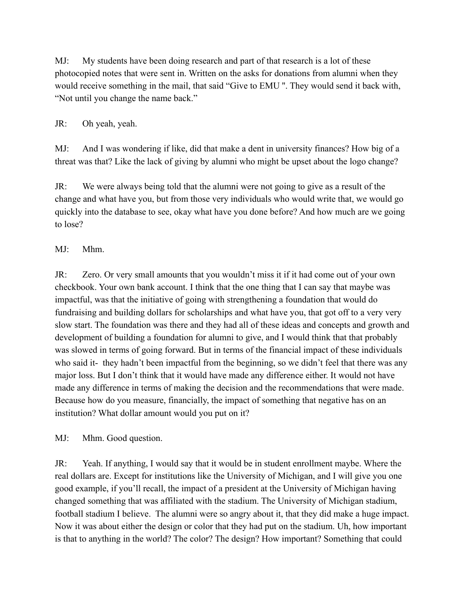MJ: My students have been doing research and part of that research is a lot of these photocopied notes that were sent in. Written on the asks for donations from alumni when they would receive something in the mail, that said "Give to EMU ''. They would send it back with, "Not until you change the name back."

## JR: Oh yeah, yeah.

MJ: And I was wondering if like, did that make a dent in university finances? How big of a threat was that? Like the lack of giving by alumni who might be upset about the logo change?

JR: We were always being told that the alumni were not going to give as a result of the change and what have you, but from those very individuals who would write that, we would go quickly into the database to see, okay what have you done before? And how much are we going to lose?

## MJ: Mhm.

JR: Zero. Or very small amounts that you wouldn't miss it if it had come out of your own checkbook. Your own bank account. I think that the one thing that I can say that maybe was impactful, was that the initiative of going with strengthening a foundation that would do fundraising and building dollars for scholarships and what have you, that got off to a very very slow start. The foundation was there and they had all of these ideas and concepts and growth and development of building a foundation for alumni to give, and I would think that that probably was slowed in terms of going forward. But in terms of the financial impact of these individuals who said it- they hadn't been impactful from the beginning, so we didn't feel that there was any major loss. But I don't think that it would have made any difference either. It would not have made any difference in terms of making the decision and the recommendations that were made. Because how do you measure, financially, the impact of something that negative has on an institution? What dollar amount would you put on it?

MJ: Mhm. Good question.

JR: Yeah. If anything, I would say that it would be in student enrollment maybe. Where the real dollars are. Except for institutions like the University of Michigan, and I will give you one good example, if you'll recall, the impact of a president at the University of Michigan having changed something that was affiliated with the stadium. The University of Michigan stadium, football stadium I believe. The alumni were so angry about it, that they did make a huge impact. Now it was about either the design or color that they had put on the stadium. Uh, how important is that to anything in the world? The color? The design? How important? Something that could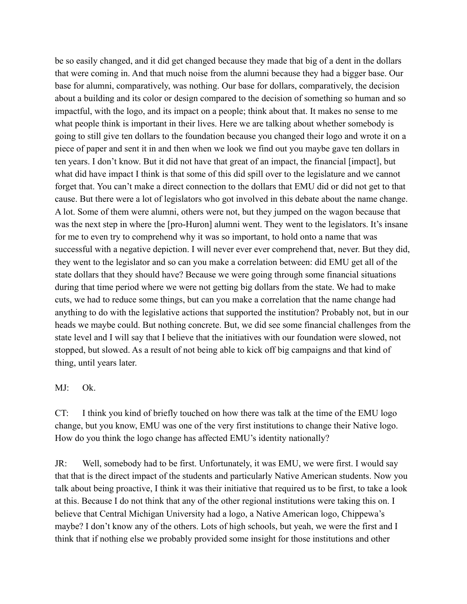be so easily changed, and it did get changed because they made that big of a dent in the dollars that were coming in. And that much noise from the alumni because they had a bigger base. Our base for alumni, comparatively, was nothing. Our base for dollars, comparatively, the decision about a building and its color or design compared to the decision of something so human and so impactful, with the logo, and its impact on a people; think about that. It makes no sense to me what people think is important in their lives. Here we are talking about whether somebody is going to still give ten dollars to the foundation because you changed their logo and wrote it on a piece of paper and sent it in and then when we look we find out you maybe gave ten dollars in ten years. I don't know. But it did not have that great of an impact, the financial [impact], but what did have impact I think is that some of this did spill over to the legislature and we cannot forget that. You can't make a direct connection to the dollars that EMU did or did not get to that cause. But there were a lot of legislators who got involved in this debate about the name change. A lot. Some of them were alumni, others were not, but they jumped on the wagon because that was the next step in where the [pro-Huron] alumni went. They went to the legislators. It's insane for me to even try to comprehend why it was so important, to hold onto a name that was successful with a negative depiction. I will never ever ever comprehend that, never. But they did, they went to the legislator and so can you make a correlation between: did EMU get all of the state dollars that they should have? Because we were going through some financial situations during that time period where we were not getting big dollars from the state. We had to make cuts, we had to reduce some things, but can you make a correlation that the name change had anything to do with the legislative actions that supported the institution? Probably not, but in our heads we maybe could. But nothing concrete. But, we did see some financial challenges from the state level and I will say that I believe that the initiatives with our foundation were slowed, not stopped, but slowed. As a result of not being able to kick off big campaigns and that kind of thing, until years later.

#### MJ: Ok.

CT: I think you kind of briefly touched on how there was talk at the time of the EMU logo change, but you know, EMU was one of the very first institutions to change their Native logo. How do you think the logo change has affected EMU's identity nationally?

JR: Well, somebody had to be first. Unfortunately, it was EMU, we were first. I would say that that is the direct impact of the students and particularly Native American students. Now you talk about being proactive, I think it was their initiative that required us to be first, to take a look at this. Because I do not think that any of the other regional institutions were taking this on. I believe that Central Michigan University had a logo, a Native American logo, Chippewa's maybe? I don't know any of the others. Lots of high schools, but yeah, we were the first and I think that if nothing else we probably provided some insight for those institutions and other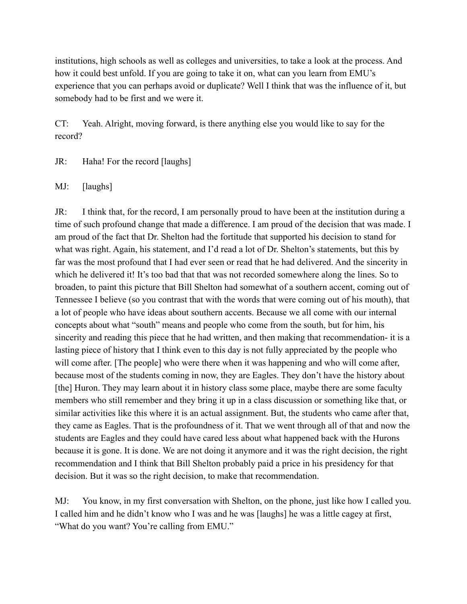institutions, high schools as well as colleges and universities, to take a look at the process. And how it could best unfold. If you are going to take it on, what can you learn from EMU's experience that you can perhaps avoid or duplicate? Well I think that was the influence of it, but somebody had to be first and we were it.

CT: Yeah. Alright, moving forward, is there anything else you would like to say for the record?

JR: Haha! For the record [laughs]

MJ: [laughs]

JR: I think that, for the record, I am personally proud to have been at the institution during a time of such profound change that made a difference. I am proud of the decision that was made. I am proud of the fact that Dr. Shelton had the fortitude that supported his decision to stand for what was right. Again, his statement, and I'd read a lot of Dr. Shelton's statements, but this by far was the most profound that I had ever seen or read that he had delivered. And the sincerity in which he delivered it! It's too bad that that was not recorded somewhere along the lines. So to broaden, to paint this picture that Bill Shelton had somewhat of a southern accent, coming out of Tennessee I believe (so you contrast that with the words that were coming out of his mouth), that a lot of people who have ideas about southern accents. Because we all come with our internal concepts about what "south" means and people who come from the south, but for him, his sincerity and reading this piece that he had written, and then making that recommendation- it is a lasting piece of history that I think even to this day is not fully appreciated by the people who will come after. [The people] who were there when it was happening and who will come after, because most of the students coming in now, they are Eagles. They don't have the history about [the] Huron. They may learn about it in history class some place, maybe there are some faculty members who still remember and they bring it up in a class discussion or something like that, or similar activities like this where it is an actual assignment. But, the students who came after that, they came as Eagles. That is the profoundness of it. That we went through all of that and now the students are Eagles and they could have cared less about what happened back with the Hurons because it is gone. It is done. We are not doing it anymore and it was the right decision, the right recommendation and I think that Bill Shelton probably paid a price in his presidency for that decision. But it was so the right decision, to make that recommendation.

MJ: You know, in my first conversation with Shelton, on the phone, just like how I called you. I called him and he didn't know who I was and he was [laughs] he was a little cagey at first, "What do you want? You're calling from EMU."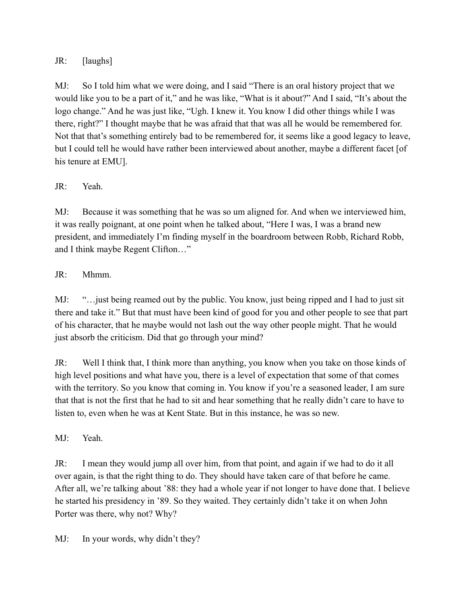## JR: [laughs]

MJ: So I told him what we were doing, and I said "There is an oral history project that we would like you to be a part of it," and he was like, "What is it about?" And I said, "It's about the logo change." And he was just like, "Ugh. I knew it. You know I did other things while I was there, right?" I thought maybe that he was afraid that that was all he would be remembered for. Not that that's something entirely bad to be remembered for, it seems like a good legacy to leave, but I could tell he would have rather been interviewed about another, maybe a different facet [of his tenure at EMU].

## JR: Yeah.

MJ: Because it was something that he was so um aligned for. And when we interviewed him, it was really poignant, at one point when he talked about, "Here I was, I was a brand new president, and immediately I'm finding myself in the boardroom between Robb, Richard Robb, and I think maybe Regent Clifton…"

## JR: Mhmm.

MJ: "…just being reamed out by the public. You know, just being ripped and I had to just sit there and take it." But that must have been kind of good for you and other people to see that part of his character, that he maybe would not lash out the way other people might. That he would just absorb the criticism. Did that go through your mind?

JR: Well I think that, I think more than anything, you know when you take on those kinds of high level positions and what have you, there is a level of expectation that some of that comes with the territory. So you know that coming in. You know if you're a seasoned leader, I am sure that that is not the first that he had to sit and hear something that he really didn't care to have to listen to, even when he was at Kent State. But in this instance, he was so new.

MJ: Yeah.

JR: I mean they would jump all over him, from that point, and again if we had to do it all over again, is that the right thing to do. They should have taken care of that before he came. After all, we're talking about '88: they had a whole year if not longer to have done that. I believe he started his presidency in '89. So they waited. They certainly didn't take it on when John Porter was there, why not? Why?

MJ: In your words, why didn't they?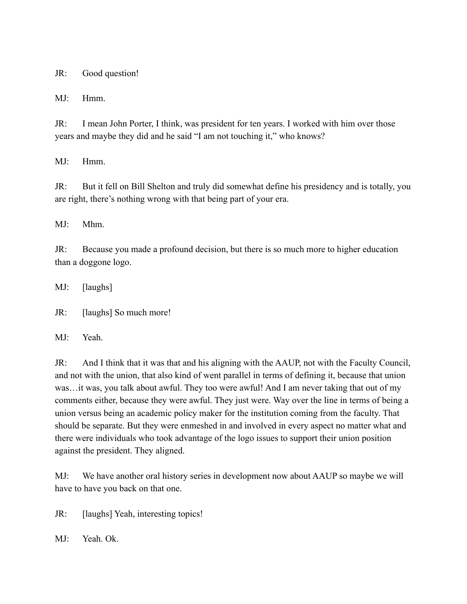JR: Good question!

MJ: Hmm.

JR: I mean John Porter, I think, was president for ten years. I worked with him over those years and maybe they did and he said "I am not touching it," who knows?

MJ: Hmm.

JR: But it fell on Bill Shelton and truly did somewhat define his presidency and is totally, you are right, there's nothing wrong with that being part of your era.

MJ: Mhm.

JR: Because you made a profound decision, but there is so much more to higher education than a doggone logo.

MJ: [laughs]

JR: [laughs] So much more!

MJ: Yeah.

JR: And I think that it was that and his aligning with the AAUP, not with the Faculty Council, and not with the union, that also kind of went parallel in terms of defining it, because that union was…it was, you talk about awful. They too were awful! And I am never taking that out of my comments either, because they were awful. They just were. Way over the line in terms of being a union versus being an academic policy maker for the institution coming from the faculty. That should be separate. But they were enmeshed in and involved in every aspect no matter what and there were individuals who took advantage of the logo issues to support their union position against the president. They aligned.

MJ: We have another oral history series in development now about AAUP so maybe we will have to have you back on that one.

JR: [laughs] Yeah, interesting topics!]

MJ: Yeah. Ok.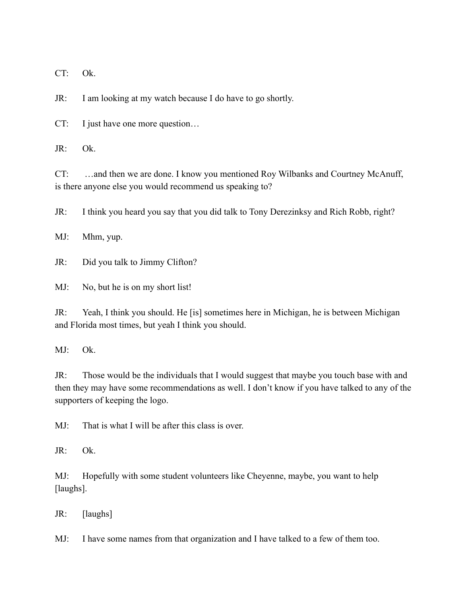CT: Ok.

JR: I am looking at my watch because I do have to go shortly.

CT: I just have one more question…

JR: Ok.

CT: …and then we are done. I know you mentioned Roy Wilbanks and Courtney McAnuff, is there anyone else you would recommend us speaking to?

JR: I think you heard you say that you did talk to Tony Derezinksy and Rich Robb, right?

MJ: Mhm, yup.

JR: Did you talk to Jimmy Clifton?

MJ: No, but he is on my short list!

JR: Yeah, I think you should. He [is] sometimes here in Michigan, he is between Michigan and Florida most times, but yeah I think you should.

MJ: Ok.

JR: Those would be the individuals that I would suggest that maybe you touch base with and then they may have some recommendations as well. I don't know if you have talked to any of the supporters of keeping the logo.

MJ: That is what I will be after this class is over.

JR: Ok.

MJ: Hopefully with some student volunteers like Cheyenne, maybe, you want to help [laughs].

JR: [laughs]

MJ: I have some names from that organization and I have talked to a few of them too.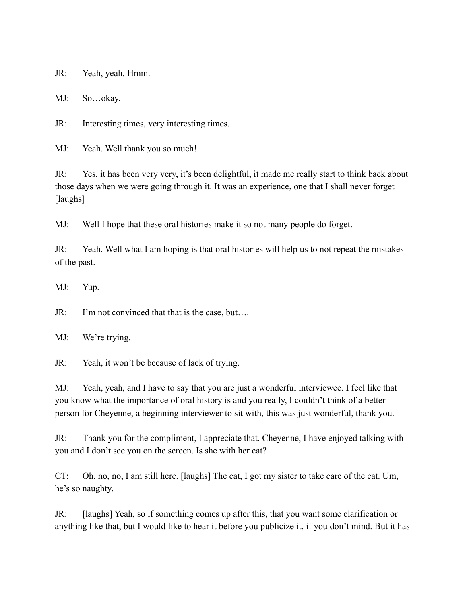JR: Yeah, yeah. Hmm.

MJ: So…okay.

JR: Interesting times, very interesting times.

MJ: Yeah. Well thank you so much!

JR: Yes, it has been very very, it's been delightful, it made me really start to think back about those days when we were going through it. It was an experience, one that I shall never forget [laughs]

MJ: Well I hope that these oral histories make it so not many people do forget.

JR: Yeah. Well what I am hoping is that oral histories will help us to not repeat the mistakes of the past.

MJ: Yup.

JR: I'm not convinced that that is the case, but….

MJ: We're trying.

JR: Yeah, it won't be because of lack of trying.

MJ: Yeah, yeah, and I have to say that you are just a wonderful interviewee. I feel like that you know what the importance of oral history is and you really, I couldn't think of a better person for Cheyenne, a beginning interviewer to sit with, this was just wonderful, thank you.

JR: Thank you for the compliment, I appreciate that. Cheyenne, I have enjoyed talking with you and I don't see you on the screen. Is she with her cat?

CT: Oh, no, no, I am still here. [laughs] The cat, I got my sister to take care of the cat. Um, he's so naughty.

JR: [laughs] Yeah, so if something comes up after this, that you want some clarification or anything like that, but I would like to hear it before you publicize it, if you don't mind. But it has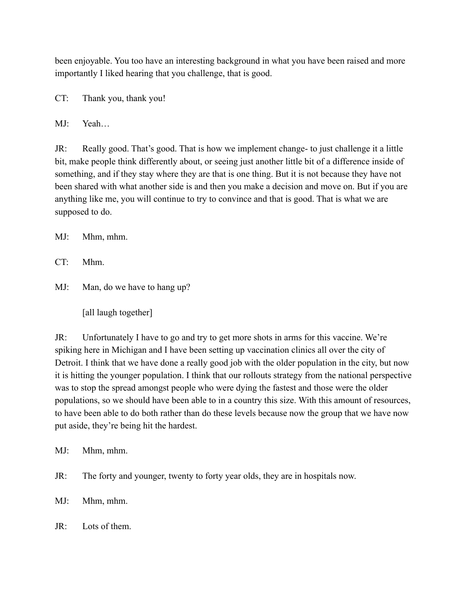been enjoyable. You too have an interesting background in what you have been raised and more importantly I liked hearing that you challenge, that is good.

CT: Thank you, thank you!

MJ: Yeah…

JR: Really good. That's good. That is how we implement change- to just challenge it a little bit, make people think differently about, or seeing just another little bit of a difference inside of something, and if they stay where they are that is one thing. But it is not because they have not been shared with what another side is and then you make a decision and move on. But if you are anything like me, you will continue to try to convince and that is good. That is what we are supposed to do.

MJ: Mhm, mhm.

CT: Mhm.

MJ: Man, do we have to hang up?

[all laugh together]

JR: Unfortunately I have to go and try to get more shots in arms for this vaccine. We're spiking here in Michigan and I have been setting up vaccination clinics all over the city of Detroit. I think that we have done a really good job with the older population in the city, but now it is hitting the younger population. I think that our rollouts strategy from the national perspective was to stop the spread amongst people who were dying the fastest and those were the older populations, so we should have been able to in a country this size. With this amount of resources, to have been able to do both rather than do these levels because now the group that we have now put aside, they're being hit the hardest.

MJ: Mhm, mhm.

JR: The forty and younger, twenty to forty year olds, they are in hospitals now.

MJ: Mhm, mhm.

 $\text{IR} \cdot \text{Lots}$  of them.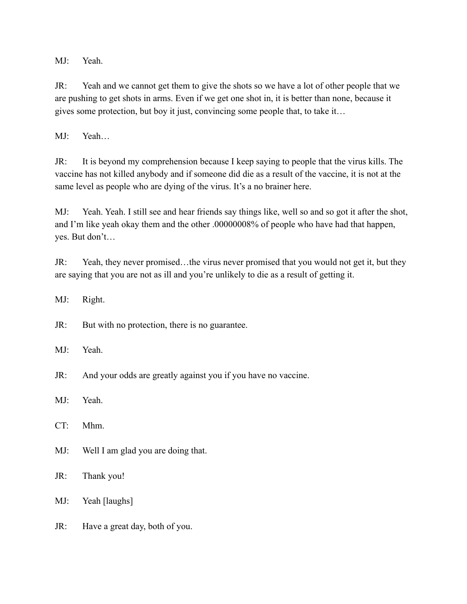MJ: Yeah.

JR: Yeah and we cannot get them to give the shots so we have a lot of other people that we are pushing to get shots in arms. Even if we get one shot in, it is better than none, because it gives some protection, but boy it just, convincing some people that, to take it…

MJ: Yeah…

JR: It is beyond my comprehension because I keep saying to people that the virus kills. The vaccine has not killed anybody and if someone did die as a result of the vaccine, it is not at the same level as people who are dying of the virus. It's a no brainer here.

MJ: Yeah. Yeah. I still see and hear friends say things like, well so and so got it after the shot, and I'm like yeah okay them and the other .00000008% of people who have had that happen, yes. But don't…

JR: Yeah, they never promised…the virus never promised that you would not get it, but they are saying that you are not as ill and you're unlikely to die as a result of getting it.

MJ: Right.

JR: But with no protection, there is no guarantee.

MJ: Yeah.

JR: And your odds are greatly against you if you have no vaccine.

MJ: Yeah.

CT: Mhm.

MJ: Well I am glad you are doing that.

JR: Thank you!

MJ: Yeah [laughs]

JR: Have a great day, both of you.